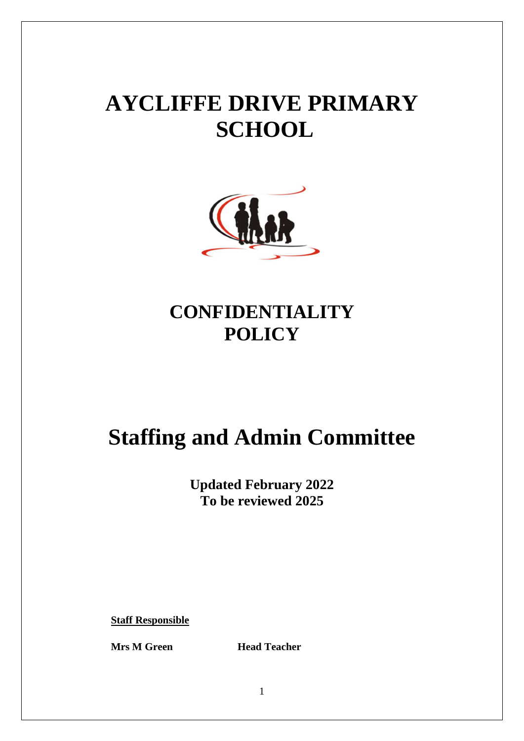# **AYCLIFFE DRIVE PRIMARY SCHOOL**



### **CONFIDENTIALITY POLICY**

## **Staffing and Admin Committee**

**Updated February 2022 To be reviewed 2025**

**Staff Responsible**

**Mrs M Green Head Teacher**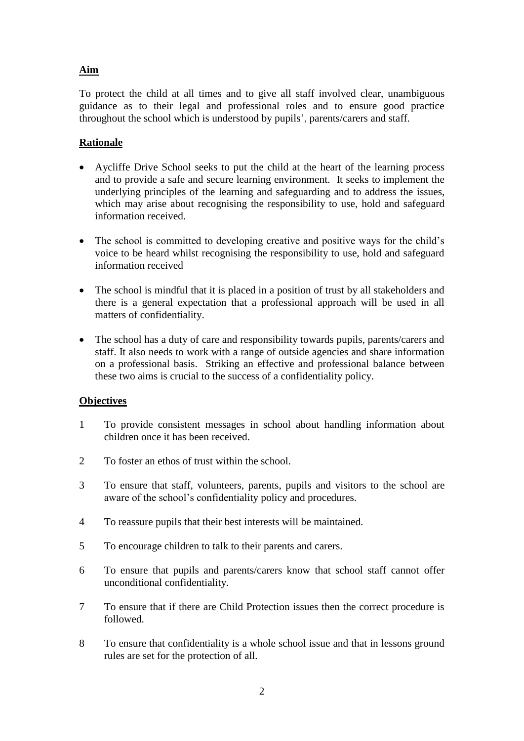#### **Aim**

To protect the child at all times and to give all staff involved clear, unambiguous guidance as to their legal and professional roles and to ensure good practice throughout the school which is understood by pupils', parents/carers and staff.

#### **Rationale**

- Aycliffe Drive School seeks to put the child at the heart of the learning process and to provide a safe and secure learning environment. It seeks to implement the underlying principles of the learning and safeguarding and to address the issues, which may arise about recognising the responsibility to use, hold and safeguard information received.
- The school is committed to developing creative and positive ways for the child's voice to be heard whilst recognising the responsibility to use, hold and safeguard information received
- The school is mindful that it is placed in a position of trust by all stakeholders and there is a general expectation that a professional approach will be used in all matters of confidentiality.
- The school has a duty of care and responsibility towards pupils, parents/carers and staff. It also needs to work with a range of outside agencies and share information on a professional basis. Striking an effective and professional balance between these two aims is crucial to the success of a confidentiality policy.

#### **Objectives**

- 1 To provide consistent messages in school about handling information about children once it has been received.
- 2 To foster an ethos of trust within the school.
- 3 To ensure that staff, volunteers, parents, pupils and visitors to the school are aware of the school's confidentiality policy and procedures.
- 4 To reassure pupils that their best interests will be maintained.
- 5 To encourage children to talk to their parents and carers.
- 6 To ensure that pupils and parents/carers know that school staff cannot offer unconditional confidentiality.
- 7 To ensure that if there are Child Protection issues then the correct procedure is followed.
- 8 To ensure that confidentiality is a whole school issue and that in lessons ground rules are set for the protection of all.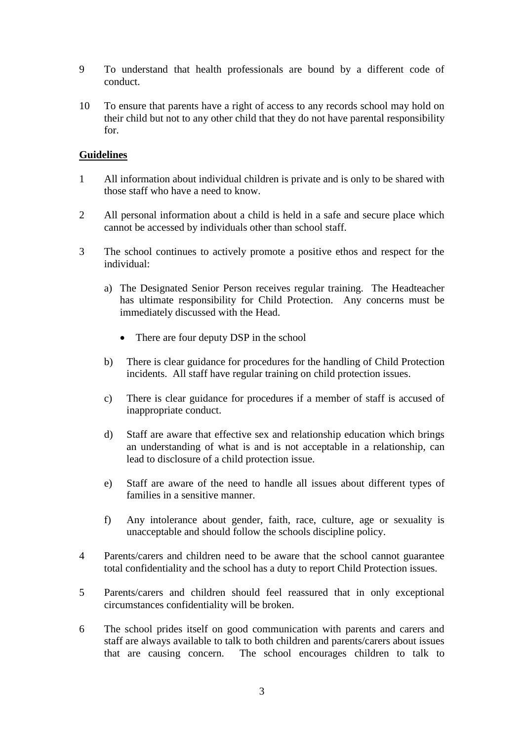- 9 To understand that health professionals are bound by a different code of conduct.
- 10 To ensure that parents have a right of access to any records school may hold on their child but not to any other child that they do not have parental responsibility for.

#### **Guidelines**

- 1 All information about individual children is private and is only to be shared with those staff who have a need to know.
- 2 All personal information about a child is held in a safe and secure place which cannot be accessed by individuals other than school staff.
- 3 The school continues to actively promote a positive ethos and respect for the individual:
	- a) The Designated Senior Person receives regular training. The Headteacher has ultimate responsibility for Child Protection. Any concerns must be immediately discussed with the Head.
		- There are four deputy DSP in the school
	- b) There is clear guidance for procedures for the handling of Child Protection incidents. All staff have regular training on child protection issues.
	- c) There is clear guidance for procedures if a member of staff is accused of inappropriate conduct.
	- d) Staff are aware that effective sex and relationship education which brings an understanding of what is and is not acceptable in a relationship, can lead to disclosure of a child protection issue.
	- e) Staff are aware of the need to handle all issues about different types of families in a sensitive manner.
	- f) Any intolerance about gender, faith, race, culture, age or sexuality is unacceptable and should follow the schools discipline policy.
- 4 Parents/carers and children need to be aware that the school cannot guarantee total confidentiality and the school has a duty to report Child Protection issues.
- 5 Parents/carers and children should feel reassured that in only exceptional circumstances confidentiality will be broken.
- 6 The school prides itself on good communication with parents and carers and staff are always available to talk to both children and parents/carers about issues that are causing concern. The school encourages children to talk to